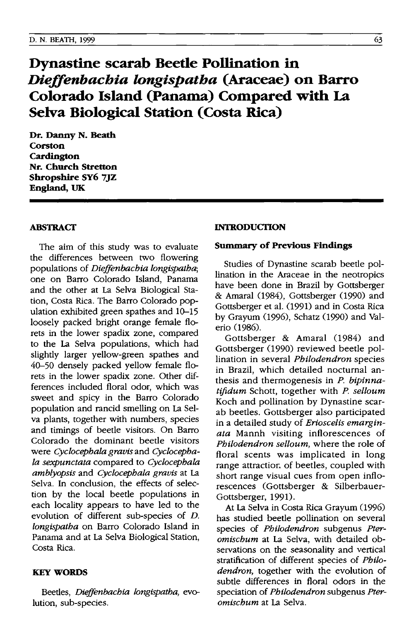# **Dynastine scarab Beetle Pollination in**  *Dieffenbachia longispatha* **(Araceae) on Barro Colorado Island (Panama) Compared with La Selva Biological Station (Costa Rica)**

**Dr. Danny N. Beath Corston Cardington Nr. Church Stretton Shropshire Sy6 7JZ England, UK** 

# **ABSTRACT**

The aim of this study was to evaluate the differences between two flowering populations of *Dieffenbachia longispatha;*  one on Barro Colorado Island, Panama and the other at La Selva Biological Station, Costa Rica. The Barro Colorado population exhibited green spathes and 10-15 loosely packed bright orange female florets in the lower spadix zone, compared to the La Selva populations, which had slightly larger yellow-green spathes and 40-50 densely packed yellow female florets in the lower spadix zone. Other differences included floral odor, which was sweet and spicy in the Barro Colorado population and rancid smelling on La Selva plants, together with numbers, species and timings of beetle visitors. On Barro Colorado the dominant beetle visitors were *Cyclocephala gravis* and *Cyclocephala sexpunctata* compared to *Cyclocephala amblyopsis* and *Cyclocephala gravis* at La Selva. In conclusion, the effects of selection by the local beetle populations in each locality appears to have led to the evolution of different sub-species of *D. longispatha* on Barro Colorado Island in Panama and at La Selva Biological Station, Costa Rica.

# **KEY WORDS**

Beetles, *Dieffenbachia longispatha,* evolution, sub-species.

#### **INTRODUCTION**

## **Summary of Previous Findings**

Studies of Dynastine scarab beetle pollination in the Araceae in the neotropics have been done in Brazil by Gottsberger & Amaral (1984), Gottsberger (1990) and Gottsberger et al. (1991) and in Costa Rica by Grayum (1996), Schatz (1990) and Valerio (1986).

Gottsberger & Amaral (1984) and Gottsberger (1990) reviewed beetle pollination in several *Philodendron* species in Brazil, which detailed nocturnal anthesis and thermogenesis in P. *bipinnatifidum* Schott, together with P. *selloum*  Koch and pollination by Dynastine scarab beetles. Gottsberger also participated in a detailed study of *Erioscelis emarginata* Mannh visiting inflorescences of *Philodendron selloum,* where the role of floral scents was implicated in long range attractior. of beetles, coupled with short range visual cues from open inflorescences (Gottsberger & Silberbauer-Gottsberger, 1991).

At La Selva in Costa Rica Grayum (1996) has studied beetle pollination on several species of *Philodendron* subgenus *Pteromischum* at La Selva, with detailed observations on the seasonality and vertical stratification of different species of *Philodendron,* together with the evolution of subtle differences in floral odors in the speciation of *Philodendron* subgenus *Pteromischum* at La Selva.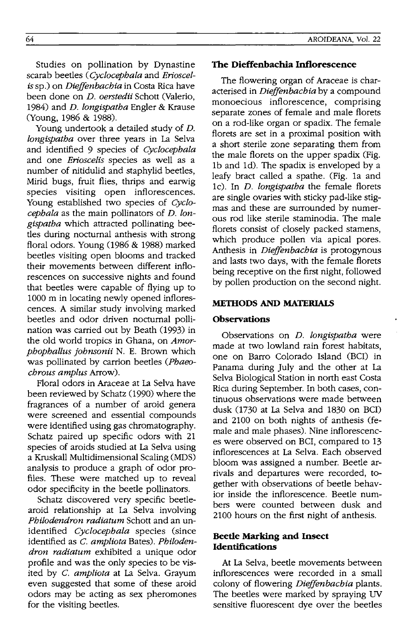Studies on pollination by Dynastine scarab beetles *(Cyclocephala* and *Erioscelis* sp.) on *Dieffenbachia* in Costa Rica have been done on *D. oerstedii* Schott (Valerio 1984) and *D. longispatha* Engler & Krause (Young, 1986 & 1988).

Young undertook a detailed study of *D. longispatha* over three years in La Selva and identified 9 species of *Cyclocephala*  and one *Erioscelis* species as well as a number of nitidulid and staphylid beetles Mirid bugs, fruit flies, thrips and earwig species visiting open inflorescences. Young established two species of *Cyclocephala* as the main pollinators of *D. longispatha* which attracted pollinating beetles during nocturnal anthesis with strong floral odors. Young  $(1986 \& 1988)$  marked beetles visiting open blooms and tracked their movements between different inflorescences on successive nights and found that beetles were capable of flying up to 1000 m in locating newly opened inflorescences. A similar study involving marked beetles and odor driven nocturnal pollination was carried out by Beath (1993) in the old world tropics in Ghana, on *Amorphophallus johnsonii* N. E. Brown which was pollinated by carrion beetles *(Phaeochrous amplus* Arrow).

Floral odors in Araceae at La Selva have been reviewed by Schatz (1990) where the fragrances of a number of aroid genera were screened and essential compounds were identified using gas chromatography. Schatz paired up specific odors with 21 species of aroids studied at La Selva using a Kruskall Multidimensional Scaling (MDS) analysis to produce a graph of odor profiles. These were matched up to reveal odor specificity in the beetle pollinators.

Schatz discovered very specific beetlearoid relationship at La Selva involving *Philodendron radiatum* Schott and an unidentified *Cyclocephala* species (since identified as C. *ampliota* Bates). *Philodendron radiatum* exhibited a unique odor profile and was the only species to be visited by C. *ampliota* at La Selva. Grayum even suggested that some of these aroid odors may be acting as sex pheromones for the visiting beetles.

## AROIDEANA, Vol. 22

### **The Dieffenbachia Inflorescence**

The flowering organ of Araceae is characterised in *Dieffenbachia* by a compound monoecious inflorescence, comprising separate zones of female and male florets on a rod-like organ or spadix. The female florets are set in a proximal position with a short sterile zone separating them from the male florets on the upper spadix (Fig. Ib and Id). The spadix is enveloped by a leafy bract called a spathe. (Fig. la and lc). In *D. longispatha* the female florets are single ovaries with sticky pad-like stigmas and these are surrounded by numerous rod like sterile staminodia. The male florets consist of closely packed stamens which produce pollen via apical pores. Anthesis in *Dieffenbachia* is protogynous and lasts two days, with the female florets being receptive on the first night, followed by pollen production on the second night.

# **METIIODS AND MATERIALS**

# **Observations**

Observations on *D. longispatha* were made at two lowland rain forest habitats one on Barro Colorado Island (BCI) in Panama during July and the other at La Selva Biological Station in north east Costa Rica during September. In both cases, continuous observations were made between dusk 0730 at La Selva and 1830 on BCI) and 2100 on both nights of anthesis (female and male phases). Nine inflorescences were observed on BCI, compared to 13 inflorescences at La Selva. Each observed bloom was assigned a number. Beetle arrivals and departures were recorded, together with observations of beetle behavior inside the inflorescence. Beetle numbers were counted between dusk and 2100 hours on the first night of anthesis.

# **Beetle Marking and Insect Identifications**

At La Selva, beetle movements between inflorescences were recorded in a small colony of flowering *Dieffenbachia* plants. The beetles were marked by spraying UV sensitive fluorescent dye over the beetles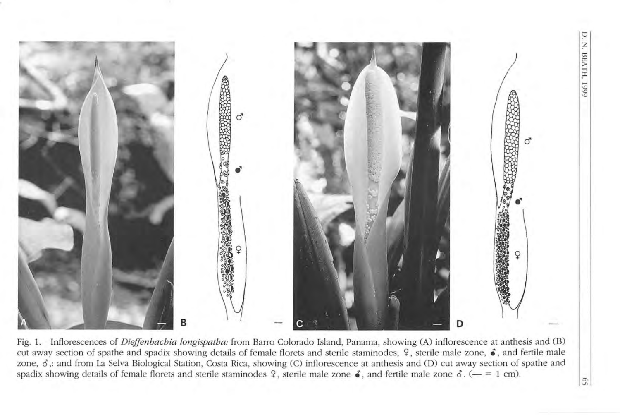

Fig. 1. Inflorescences of *Dieffenbachia longispatha:* from Barro Colorado Island, Panama, showing (A) inflorescence at anthesis and (B) cut away section of spathe and spadix showing details of female florets and sterile staminodes,  $\frac{2}{3}$ , sterile male zone,  $\hat{\bullet}$ , and fertile male zone,  $\delta$ ,: and from La Selva Biological Station, Costa Rica, showing (C) inflorescence at anthesis and (D) cut away section of spathe and spadix showing details of female florets and sterile staminodes  $\varphi$ , sterile male zone  $\varphi$ , and fertile male zone  $\varphi$ . (- = 1 cm).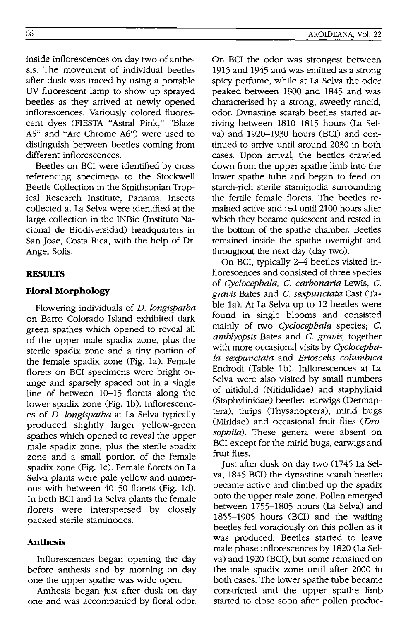inside inflorescences on day two of anthesis. The movement of individual beetles after dusk was traced by using a portable UV fluorescent lamp to show up sprayed beetles as they arrived at newly opened inflorescences. Variously colored fluorescent dyes (FIESTA "Astral Pink," "Blaze A5" and "Arc Chrome A6") were used to distinguish between beetles coming from different inflorescences.

Beetles on BCI were identified by cross referencing specimens to the Stockwell Beetle Collection in the Smithsonian Tropical Research Institute, Panama. Insects collected at La Selva were identified at the large collection in the INBio (Instituto Nacional de Biodiversidad) headquarters in San Jose, Costa Rica, with the help of Dr. Angel Solis.

# **RESULTS**

## **Floral Morphology**

Flowering individuals of *D. longispatha*  on Barro Colorado Island exhibited dark green spathes which opened to reveal all of the upper male spadix zone, plus the sterile spadix zone and a tiny portion of the female spadix zone (Fig. 1a). Female florets on BCI specimens were bright orange and sparsely spaced out in a single line of between 10-15 florets along the lower spadix zone (Fig. 1b). Inflorescences of D. *longispatha* at La Selva typically produced slightly larger yellow-green spathes which opened to reveal the upper male spadix zone, plus the sterile spadix zone and a small portion of the female spadix zone (Fig. 1c). Female florets on La Selva plants were pale yellow and numerous with between 40-50 florets (Fig. 1d). In both BCI and La Selva plants the female florets were interspersed by closely packed sterile staminodes.

# **Anthesis**

Inflorescences began opening the day before anthesis and by morning on day one the upper spathe was wide open.

Anthesis began just after dusk on day one and was accompanied by floral odor. On BCI the odor was strongest between 1915 and 1945 and was emitted as a strong spicy perfume, while at La Selva the odor peaked between 1800 and 1845 and was characterised by a strong, sweetly rancid, odor. Dynastine scarab beetles started arriving between 1810-1815 hours (La Selva) and 1920-1930 hours (BCl) and continued to arrive until around 2030 in both cases. Upon arrival, the beetles crawled down from the upper spathe limb into the lower spathe tube and began to feed on starch-rich sterile staminodia surrounding the fertile female florets. The beetles remained active and fed until 2100 hours after which they became quiescent and rested in the bottom of the spathe chamber. Beetles remained inside the spathe overnight and throughout the next day (day two).

On BCI, typically 2-4 beetles visited inflorescences and consisted of three species of *Cyclocephala, C. carbonaria* Lewis, C. *gravis* Bates and C. *sexpunctata* Cast (Table 1a). At La Selva up to 12 beetles were found in single blooms and consisted mainly of two *Cyclocephala* species; C. *amblyopsis* Bates and C. *gravis,* together with more occasional visits by *Cyclocephala sexpunctata* and *Erioscelis columbica*  Endrodi (Table 1b). Inflorescences at La Selva were also visited by small numbers of nitidulid (Nitidulidae) and staphylinid (Staphylinidae) beetles, earwigs (Dermaptera), thrips (Thysanoptera), mirid bugs (Miridae) and occasional fruit flies *(Drosophila).* These genera were absent on BCI except for the mirid bugs, earwigs and fruit flies.

Just after dusk on day two (1745 La Selva, 1845 BCl) the dynastine scarab beetles became active and climbed up the spadix onto the upper male zone. Pollen emerged between 1755-1805 hours (La Selva) and 1855-1905 hours (BCI) and the waiting beetles fed voraciously on this pollen as it was produced. Beetles started to leave male phase inflorescences by 1820 (La Selva) and 1920 (BC!), but some remained on the male spadix zone until after 2000 in both cases. The lower spathe tube became constricted and the upper spathe limb started to close soon after pollen produc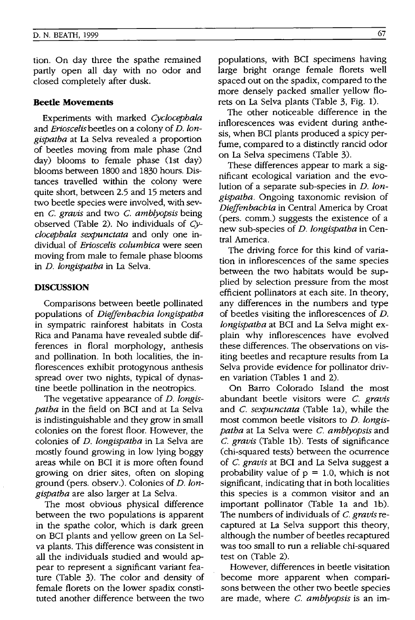tion. On day three the spathe remained partly open all day with no odor and closed completely after dusk.

# **Beetle Movements**

Experiments with marked *Cyclocepbala*  and *Erioscelis* beetles on a colony of *D. longispatba* at La Selva revealed a proportion of beetles moving from male phase (2nd day) blooms to female phase (lst day) blooms between 1800 and 1830 hours. Distances travelled within the colony were quite short, between 2.5 and 15 meters and two beetle species were involved, with seven C. *gravis* and two C. *amblyopsis* being observed (Table 2). No individuals of *Cyclocepbala sexpunctata* and only one individual of *Erioscelis columbica* were seen moving from male to female phase blooms in *D. longispatba* in La Selva.

## **DISCUSSION**

Comparisons between beetle pollinated populations of *Dieffenbacbia longispatba*  in sympatric rainforest habitats in Costa Rica and Panama have revealed subtle differences in floral morphology, anthesis and pollination. In both localities, the inflorescences exhibit protogynous anthesis spread over two nights, typical of dynastine beetle pollination in the neotropics.

The vegetative appearance of *D. longispatba* in the field on BCI and at La Selva is indistinguishable and they grow in small colonies on the forest floor. However, the colonies of *D. !ongispatba* in La Selva are mostly found growing in low lying boggy areas while on BCI it is more often found growing on drier sites, often on sloping ground (pers. observ.). Colonies of *D. longispatba* are also larger at La Selva.

The most obvious physical difference between the two populations is apparent in the spathe color, which is dark green on BCI plants and yellow green on La Selva plants. This difference was consistent in all the individuals studied and would appear to represent a significant variant feature (Table 3). The color and density of female florets on the lower spadix constituted another difference between the two populations, with BCI specimens having large bright orange female florets well spaced out on the spadix, compared to the more densely packed smaller yellow florets on La Selva plants (Table 3, Fig. 1).

The other noticeable difference in the inflorescences was evident during anthesis, when BCI plants produced a spicy perfume, compared to a distinctly rancid odor on La Selva specimens (Table 3).

These differences appear to mark a significant ecological variation and the evolution of a separate sub-species in *D. !ongispatba.* Ongoing taxonomic revision of *Dieffenbacbia* in Central America by Croat (pers. comm.) suggests the existence of a new sub-species of *D. longispatba* in Central America.

The driving force for this kind of variation in inflorescences of the same species between the two habitats would be supplied by selection pressure from the most efficient pollinators at each site. In theory, any differences in the numbers and type of beetles visiting the inflorescences of *D. !ongispatba* at BCI and La Selva might explain why inflorescences have evolved these differences. The observations on visiting beetles and recapture results from La Selva provide evidence for pollinator driven variation (Tables 1 and 2).

On Barro Colorado Island the most abundant beetle visitors were C. *gravis*  and C. *sexpunctata* (Table 1a), while the most common beetle visitors to *D. longispatba* at La Selva were C. *amblyopsis* and C. *gravis* (Table 1b). Tests of significance (chi-squared tests) between the ocurrence of C. *gravis* at BCI and La Selva suggest a probability value of  $p = 1.0$ , which is not significant, indicating that in both localities this species is a common visitor and an important pollinator (Table 1a and 1b). The numbers of individuals of C. *gravis* recaptured at La Selva support this theory, although the number of beetles recaptured was too small to run a reliable chi-squared test on (Table 2).

However, differences in beetle visitation become more apparent when comparisons between the other two beetle species are made, where C. *amblyopsis* is an im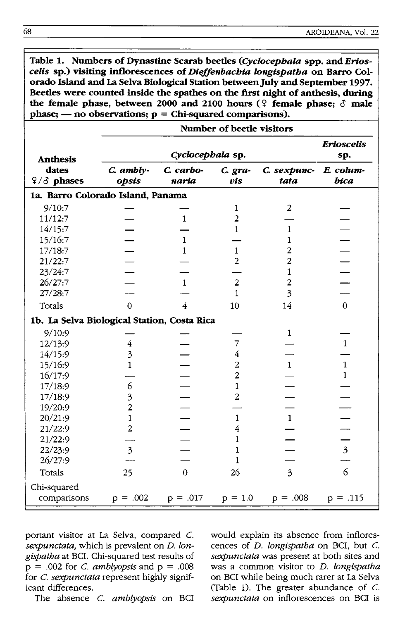Table 1. Numbers of Dynastine Scarab beetles (Cyclocephala spp. and Erios*ceUs* **sp.) visiting inflorescences of** *Dle.ffenbacbia Iongispatba* **on Barra Colorado Island and La Selva Biological Station** between July **and September 1997. Beetles were counted inside the spathes on the first night of anthesis, during**  the female phase, between 2000 and 2100 hours  $(\frac{6}{5})$  female phase;  $\delta$  male **phase; - no observations; p = Chi-squared comparisons).** 

|                                             | Number of beetle visitors |                                        |                |                     |                         |  |  |  |
|---------------------------------------------|---------------------------|----------------------------------------|----------------|---------------------|-------------------------|--|--|--|
|                                             |                           | <b>Erioscelis</b><br>sp.               |                |                     |                         |  |  |  |
| <b>Anthesis</b><br>dates<br>$9/3$ phases    | C. ambly-<br>opsis        | Cyclocephala sp.<br>C. carbo-<br>naria | C. gra-<br>vis | C. sexpunc-<br>tata | E. colum-<br>bica       |  |  |  |
| 1a. Barro Colorado Island, Panama           |                           |                                        |                |                     |                         |  |  |  |
| 9/10:7                                      |                           |                                        | 1              | 2                   |                         |  |  |  |
| 11/12:7                                     |                           | $\mathbf{1}$                           | $\overline{c}$ |                     |                         |  |  |  |
| 14/15:7                                     |                           |                                        | 1              | 1                   |                         |  |  |  |
| 15/16:7                                     |                           | $\mathbf{1}$                           |                | 1                   |                         |  |  |  |
| 17/18:7                                     |                           | $\mathbf{1}$                           | $\mathbf{1}$   | $\overline{c}$      |                         |  |  |  |
| 21/22:7                                     |                           |                                        | $\overline{c}$ | $\overline{c}$      |                         |  |  |  |
| 23/24:7                                     |                           |                                        |                | 1                   |                         |  |  |  |
| 26/27:7                                     |                           | $\mathbf{1}$                           | $\overline{2}$ | $\overline{c}$      |                         |  |  |  |
| 27/28:7                                     |                           |                                        | $\mathbf{1}$   | 3                   |                         |  |  |  |
| Totals                                      | $\Omega$                  | 4                                      | 10             | 14                  | $\Omega$                |  |  |  |
| 1b. La Selva Biological Station, Costa Rica |                           |                                        |                |                     |                         |  |  |  |
| 9/10:9                                      |                           |                                        |                | $\mathbf{1}$        |                         |  |  |  |
| 12/13:9                                     | 4                         |                                        | 7              |                     | $\mathbf{1}$            |  |  |  |
| 14/15:9                                     | 3                         |                                        | 4              |                     |                         |  |  |  |
| 15/16:9                                     | 1                         |                                        | $\overline{c}$ | $\mathbf{1}$        | $\mathbf{1}$            |  |  |  |
| 16/17:9                                     |                           |                                        | $\overline{c}$ |                     | $\mathbf{1}$            |  |  |  |
| 17/18:9                                     | 6                         |                                        | 1              |                     |                         |  |  |  |
| 17/18:9                                     | $\overline{\mathbf{3}}$   |                                        | 2              |                     |                         |  |  |  |
| 19/20:9                                     | $\overline{c}$            |                                        |                |                     |                         |  |  |  |
| 20/21:9                                     | $\mathbf{1}$              |                                        | 1              | $\mathbf{1}$        |                         |  |  |  |
| 21/22:9                                     | $\overline{c}$            |                                        | 4              |                     |                         |  |  |  |
| 21/22:9                                     |                           |                                        | 1              |                     |                         |  |  |  |
| 22/23:9                                     | $\overline{\mathbf{3}}$   |                                        | 1              |                     | $\overline{\mathbf{3}}$ |  |  |  |
| 26/27:9                                     |                           |                                        | 1              |                     |                         |  |  |  |
| Totals                                      | 25                        | $\Omega$                               | 26             | $\overline{3}$      | 6                       |  |  |  |
| Chi-squared<br>comparisons                  | $p = .002$                | $p = .017$                             | $p = 1.0$      | $p = .008$          | $p = .115$              |  |  |  |

portant visitor at La Selva, compared C. *sexpunctata,* which is prevalent on *D. longispatha* at BCI. Chi-squared test results of  $p = .002$  for *C. amblyopsis* and  $p = .008$ for C. *sexpunctata* represent highly significant differences.

The absence C. *amblyopsis* on BCI

would explain its absence from inflorescences of *D. longispatha* on BCI, but C. *sexpunctata* was present at both sites and was a common visitor to *D. longispatha*  on BCI while being much rarer at La Selva (Table 1). The greater abundance of  $C$ . *sexpunctata* on inflorescences on BCI is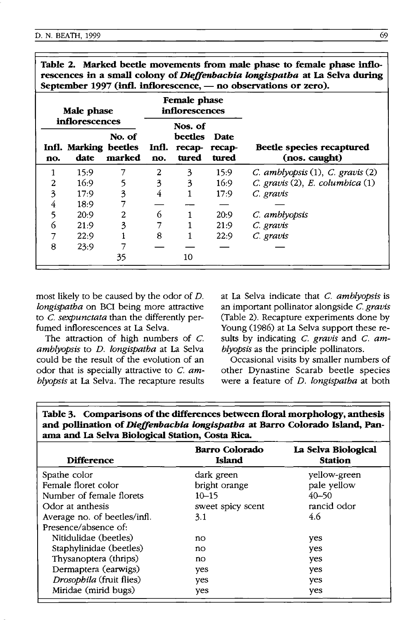| rescences in a small colony of <i>ineffendationa ionglispation</i> at La selva during<br>September 1997 (infl. inflorescence, - no observations or zero). |                               |                                |              |                            |                         |                                            |  |
|-----------------------------------------------------------------------------------------------------------------------------------------------------------|-------------------------------|--------------------------------|--------------|----------------------------|-------------------------|--------------------------------------------|--|
| Male phase<br>inflorescences                                                                                                                              |                               | Female phase<br>inflorescences |              |                            |                         |                                            |  |
|                                                                                                                                                           |                               | Nos. of                        |              |                            |                         |                                            |  |
| no.                                                                                                                                                       | Infl. Marking beetles<br>date | No. of<br>marked               | Infl.<br>no. | beetles<br>recap-<br>tured | Date<br>recap-<br>tured | Beetle species recaptured<br>(nos. caught) |  |
|                                                                                                                                                           | 15:9                          |                                | 2            | 3                          | 15:9                    | $C.$ amblyopsis $(1)$ , $C.$ gravis $(2)$  |  |
| 2                                                                                                                                                         | 16:9                          | 5                              | 3            | 3                          | 16.9                    | $C.$ gravis (2), E. columbica (1)          |  |
| 3                                                                                                                                                         | 17:9                          | 3                              | 4            |                            | 17:9                    | C. gravis                                  |  |
| 4                                                                                                                                                         | 18:9                          |                                |              |                            |                         |                                            |  |
| 5                                                                                                                                                         | 20:9                          | 2                              | 6            |                            | 20:9                    | C. amblyopsis                              |  |
| 6                                                                                                                                                         | 21:9                          | 3                              |              |                            | 21:9                    | C. gravis                                  |  |
|                                                                                                                                                           | 22:9                          |                                | 8            |                            | 22:9                    | C. gravis                                  |  |
| 8                                                                                                                                                         | 23:9                          |                                |              |                            |                         |                                            |  |
|                                                                                                                                                           |                               | 35                             |              | 10                         |                         |                                            |  |

**Table 2. Marked beetle movements from male phase to female phase inflorescences in a small colony of** *Die.ffenbachia longispatha* **at La Selva during** 

most likely to be caused by the odor of *D. longispatha* on BCI being more attractive to C. *sexpunctata* than the differently perfumed inflorescences at La Selva.

The attraction of high numbers of  $C$ . *amblyopsis* to *D. longispatha* at La Selva could be the result of the evolution of an odor that is specially attractive to C. *amblyopsis* at La Selva. The recapture results at La Selva indicate that c. *amblyopsis* is an important pollinator alongside C. *gravis*  (Table 2). Recapture experiments done by Young (1986) at La Selva support these results by indicating c. *gravis* and C. *amblyopsis* as the principle pollinators.

Occasional visits by smaller numbers of other Dynastine Scarab beetle species were a feature of *D. longispatha* at both

| Table 3. Comparisons of the differences between floral morphology, anthesis        |
|------------------------------------------------------------------------------------|
| and pollination of <i>Dieffenbachia longispatha</i> at Barro Colorado Island, Pan- |
| ama and La Selva Biological Station, Costa Rica.                                   |

| <b>Difference</b>            | <b>Barro Colorado</b><br><b>Island</b> | La Selva Biological<br><b>Station</b> |  |
|------------------------------|----------------------------------------|---------------------------------------|--|
| Spathe color                 | dark green                             | yellow-green                          |  |
| Female floret color          | bright orange                          | pale yellow                           |  |
| Number of female florets     | $10 - 15$                              | $40 - 50$                             |  |
| Odor at anthesis             | sweet spicy scent                      | rancid odor                           |  |
| Average no. of beetles/infl. | 3.1                                    | 4.6                                   |  |
| Presence/absence of:         |                                        |                                       |  |
| Nitidulidae (beetles)        | no                                     | yes                                   |  |
| Staphylinidae (beetles)      | no                                     | yes                                   |  |
| Thysanoptera (thrips)        | no                                     | yes                                   |  |
| Dermaptera (earwigs)         | yes                                    | yes                                   |  |
| Drosophila (fruit flies)     | yes                                    | yes                                   |  |
| Miridae (mirid bugs)         | yes                                    | yes                                   |  |
|                              |                                        |                                       |  |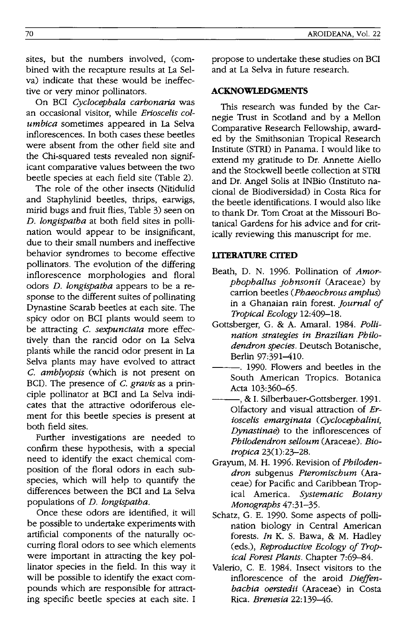sites, but the numbers involved, (combined with the recapture results at La Selva) indicate that these would be ineffective or very minor pollinators.

On BCI Cyclocephala carbonaria was an occasional visitor, while *Erioscelis columbica* sometimes appeared in La Selva inflorescences. **In** both cases these beetles were absent from the other field site and the Chi-squared tests revealed non significant comparative values between the two beetle species at each field site (Table 2).

The role of the other insects (Nitidulid and Staphylinid beetles, thrips, earwigs, mirid bugs and fruit flies, Table 3) seen on *D. longispatha* at both field sites in pollination would appear to be insignificant, due to their small numbers and ineffective behavior syndromes to become effective pollinators. The evolution of the differing inflorescence morphologies and floral odors *D. longispatha* appears to be a response to the different suites of pollinating Dynastine Scarab beetles at each site. The spicy odor on BCI plants would seem to be attracting C. *sexpunctata* more effectively than the rancid odor on La Selva plants while the rancid odor present in La Selva plants may have evolved to attract C. *amblyopsis* (which is not present on BCI). The presence of C. *gravis* as a principle pollinator at BCI and La Selva indicates that the attractive odoriferous element for this beetle species is present at both field sites.

Further investigations are needed to confirm these hypothesis, with a special need to identify the exact chemical composition of the floral odors in each subspecies, which will help to quantify the differences between the BCI and La Selva populations of *D. longispatha.* 

Once these odors are identified, it will be possible to undertake experiments with artificial components of the naturally occurring floral odors to *see* which elements were important in attracting the key pollinator species in the field. **In** this way it will be possible to identify the exact compounds which are responsible for attracting specific beetle species at each site. I propose to undertake these studies on BCI and at La Selva in future research.

# **ACKNOWLEDGMENTS**

This research was funded by the Carnegie Trust in Scotland and by a Mellon Comparative Research Fellowship, awarded by the Smithsonian Tropical Research Institute (STRI) in Panama. I would like to extend my gratitude to Dr. Annette Aiello and the Stockwell beetle collection at STRI and Dr. Angel Solis at INBio (Instituto nacional de Biodiversidad) in Costa Rica for the beetle identifications. I would also like to thank Dr. Tom Croat at the Missouri Botanical Gardens for his advice and for critically reviewing this manuscript for me.

# **LlTERATIJRE CITED**

- Beath, D. N. 1996. Pollination of *Amorphophallus johnsonii* (Araceae) by carrion beetles *(Phaeochrous amplus)*  in a Ghanaian rain forest. *Journal of Tropical Ecology 12:409-18.*
- Gottsberger, G. & A. Amaral. 1984. *Pollination strategies in Brazilian Philodendron species.* Deutsch Botanische, Berlin 97:391-410.
	- $-$ . 1990. Flowers and beetles in the South American Tropics. Botanica Acta 103:360-65.
- -, & I. Silberbauer-Gottsberger. 1991. Olfactory and visual attraction of *Erioscelis emarginata (Cyclocephalini, Dynastinae)* to the inflorescences of *Philodendron selloum* (Araceae). *Biotropica 23(1):23-28.*
- Grayum, M. H. 1996. Revision of *Philodendron* subgenus *Pteromischum* (Araceae) for Pacific and Caribbean Tropical America. *Systematic Botany Monographs 47:31-35.*
- Schatz, G. E. 1990. Some aspects of pollination biology in Central American forests. In K. S. Bawa, & M. Hadley (eds.), *Reproductive Ecology of Tropical Forest Plants.* Chapter 7:69-84.
- Valerio, C. E. 1984. Insect visitors to the inflorescence of the aroid *Dieffenbachia oerstedii* (Araceae) in Costa Rica. *Brenesia 22:139-46.*